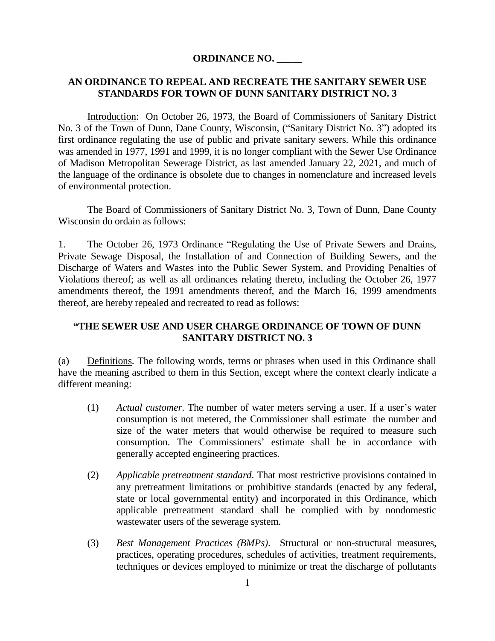## **ORDINANCE NO. \_\_\_\_\_**

## **AN ORDINANCE TO REPEAL AND RECREATE THE SANITARY SEWER USE STANDARDS FOR TOWN OF DUNN SANITARY DISTRICT NO. 3**

Introduction: On October 26, 1973, the Board of Commissioners of Sanitary District No. 3 of the Town of Dunn, Dane County, Wisconsin, ("Sanitary District No. 3") adopted its first ordinance regulating the use of public and private sanitary sewers. While this ordinance was amended in 1977, 1991 and 1999, it is no longer compliant with the Sewer Use Ordinance of Madison Metropolitan Sewerage District, as last amended January 22, 2021, and much of the language of the ordinance is obsolete due to changes in nomenclature and increased levels of environmental protection.

The Board of Commissioners of Sanitary District No. 3, Town of Dunn, Dane County Wisconsin do ordain as follows:

1. The October 26, 1973 Ordinance "Regulating the Use of Private Sewers and Drains, Private Sewage Disposal, the Installation of and Connection of Building Sewers, and the Discharge of Waters and Wastes into the Public Sewer System, and Providing Penalties of Violations thereof; as well as all ordinances relating thereto, including the October 26, 1977 amendments thereof, the 1991 amendments thereof, and the March 16, 1999 amendments thereof, are hereby repealed and recreated to read as follows:

## **"THE SEWER USE AND USER CHARGE ORDINANCE OF TOWN OF DUNN SANITARY DISTRICT NO. 3**

(a) Definitions. The following words, terms or phrases when used in this Ordinance shall have the meaning ascribed to them in this Section, except where the context clearly indicate a different meaning:

- (1) *Actual customer*. The number of water meters serving a user. If a user's water consumption is not metered, the Commissioner shall estimate the number and size of the water meters that would otherwise be required to measure such consumption. The Commissioners' estimate shall be in accordance with generally accepted engineering practices.
- (2) *Applicable pretreatment standard*. That most restrictive provisions contained in any pretreatment limitations or prohibitive standards (enacted by any federal, state or local governmental entity) and incorporated in this Ordinance, which applicable pretreatment standard shall be complied with by nondomestic wastewater users of the sewerage system.
- (3) *Best Management Practices (BMPs)*. Structural or non-structural measures, practices, operating procedures, schedules of activities, treatment requirements, techniques or devices employed to minimize or treat the discharge of pollutants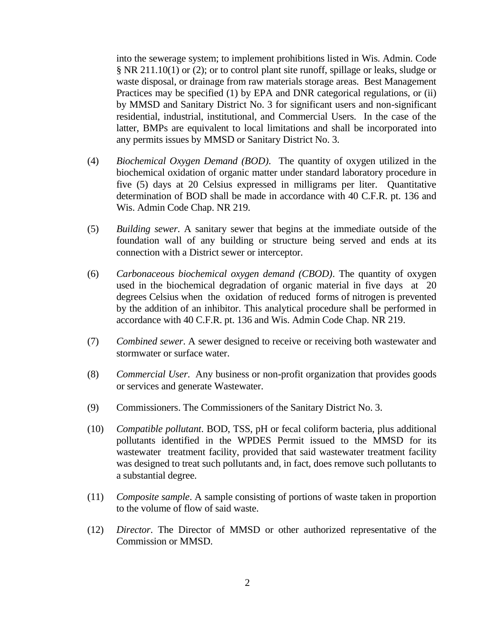into the sewerage system; to implement prohibitions listed in Wis. Admin. Code § NR 211.10(1) or (2); or to control plant site runoff, spillage or leaks, sludge or waste disposal, or drainage from raw materials storage areas. Best Management Practices may be specified (1) by EPA and DNR categorical regulations, or (ii) by MMSD and Sanitary District No. 3 for significant users and non-significant residential, industrial, institutional, and Commercial Users. In the case of the latter, BMPs are equivalent to local limitations and shall be incorporated into any permits issues by MMSD or Sanitary District No. 3.

- (4) *Biochemical Oxygen Demand (BOD)*. The quantity of oxygen utilized in the biochemical oxidation of organic matter under standard laboratory procedure in five (5) days at 20 Celsius expressed in milligrams per liter. Quantitative determination of BOD shall be made in accordance with 40 C.F.R. pt. 136 and Wis. Admin Code Chap. NR 219.
- (5) *Building sewer*. A sanitary sewer that begins at the immediate outside of the foundation wall of any building or structure being served and ends at its connection with a District sewer or interceptor.
- (6) *Carbonaceous biochemical oxygen demand (CBOD)*. The quantity of oxygen used in the biochemical degradation of organic material in five days at 20 degrees Celsius when the oxidation of reduced forms of nitrogen is prevented by the addition of an inhibitor. This analytical procedure shall be performed in accordance with 40 C.F.R. pt. 136 and Wis. Admin Code Chap. NR 219.
- (7) *Combined sewer*. A sewer designed to receive or receiving both wastewater and stormwater or surface water.
- (8) *Commercial User*. Any business or non-profit organization that provides goods or services and generate Wastewater.
- (9) Commissioners. The Commissioners of the Sanitary District No. 3.
- (10) *Compatible pollutant*. BOD, TSS, pH or fecal coliform bacteria, plus additional pollutants identified in the WPDES Permit issued to the MMSD for its wastewater treatment facility, provided that said wastewater treatment facility was designed to treat such pollutants and, in fact, does remove such pollutants to a substantial degree.
- (11) *Composite sample*. A sample consisting of portions of waste taken in proportion to the volume of flow of said waste.
- (12) *Director*. The Director of MMSD or other authorized representative of the Commission or MMSD.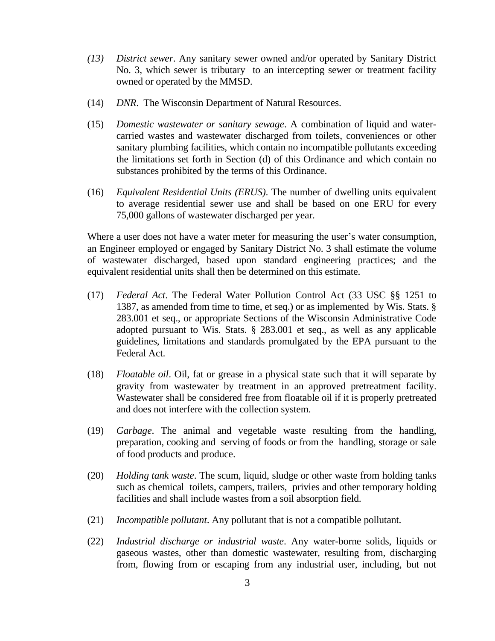- *(13) District sewer*. Any sanitary sewer owned and/or operated by Sanitary District No. 3, which sewer is tributary to an intercepting sewer or treatment facility owned or operated by the MMSD.
- (14) *DNR*. The Wisconsin Department of Natural Resources.
- (15) *Domestic wastewater or sanitary sewage*. A combination of liquid and watercarried wastes and wastewater discharged from toilets, conveniences or other sanitary plumbing facilities, which contain no incompatible pollutants exceeding the limitations set forth in Section (d) of this Ordinance and which contain no substances prohibited by the terms of this Ordinance.
- (16) *Equivalent Residential Units (ERUS)*. The number of dwelling units equivalent to average residential sewer use and shall be based on one ERU for every 75,000 gallons of wastewater discharged per year.

Where a user does not have a water meter for measuring the user's water consumption, an Engineer employed or engaged by Sanitary District No. 3 shall estimate the volume of wastewater discharged, based upon standard engineering practices; and the equivalent residential units shall then be determined on this estimate.

- (17) *Federal Act*. The Federal Water Pollution Control Act (33 USC §§ 1251 to 1387, as amended from time to time, et seq.) or as implemented by Wis. Stats. § 283.001 et seq., or appropriate Sections of the Wisconsin Administrative Code adopted pursuant to Wis. Stats. § 283.001 et seq., as well as any applicable guidelines, limitations and standards promulgated by the EPA pursuant to the Federal Act.
- (18) *Floatable oil*. Oil, fat or grease in a physical state such that it will separate by gravity from wastewater by treatment in an approved pretreatment facility. Wastewater shall be considered free from floatable oil if it is properly pretreated and does not interfere with the collection system.
- (19) *Garbage*. The animal and vegetable waste resulting from the handling, preparation, cooking and serving of foods or from the handling, storage or sale of food products and produce.
- (20) *Holding tank waste*. The scum, liquid, sludge or other waste from holding tanks such as chemical toilets, campers, trailers, privies and other temporary holding facilities and shall include wastes from a soil absorption field.
- (21) *Incompatible pollutant*. Any pollutant that is not a compatible pollutant.
- (22) *Industrial discharge or industrial waste*. Any water-borne solids, liquids or gaseous wastes, other than domestic wastewater, resulting from, discharging from, flowing from or escaping from any industrial user, including, but not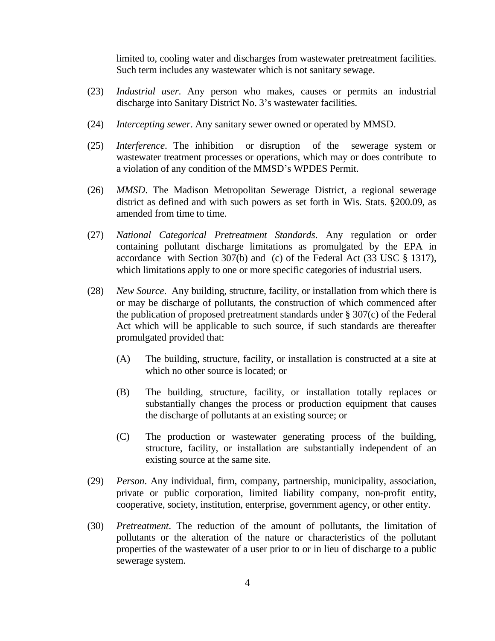limited to, cooling water and discharges from wastewater pretreatment facilities. Such term includes any wastewater which is not sanitary sewage.

- (23) *Industrial user*. Any person who makes, causes or permits an industrial discharge into Sanitary District No. 3's wastewater facilities.
- (24) *Intercepting sewer*. Any sanitary sewer owned or operated by MMSD.
- (25) *Interference*. The inhibition or disruption of the sewerage system or wastewater treatment processes or operations, which may or does contribute to a violation of any condition of the MMSD's WPDES Permit.
- (26) *MMSD*. The Madison Metropolitan Sewerage District, a regional sewerage district as defined and with such powers as set forth in Wis. Stats. §200.09, as amended from time to time.
- (27) *National Categorical Pretreatment Standards*. Any regulation or order containing pollutant discharge limitations as promulgated by the EPA in accordance with Section 307(b) and (c) of the Federal Act (33 USC § 1317), which limitations apply to one or more specific categories of industrial users.
- (28) *New Source*. Any building, structure, facility, or installation from which there is or may be discharge of pollutants, the construction of which commenced after the publication of proposed pretreatment standards under § 307(c) of the Federal Act which will be applicable to such source, if such standards are thereafter promulgated provided that:
	- (A) The building, structure, facility, or installation is constructed at a site at which no other source is located; or
	- (B) The building, structure, facility, or installation totally replaces or substantially changes the process or production equipment that causes the discharge of pollutants at an existing source; or
	- (C) The production or wastewater generating process of the building, structure, facility, or installation are substantially independent of an existing source at the same site.
- (29) *Person*. Any individual, firm, company, partnership, municipality, association, private or public corporation, limited liability company, non-profit entity, cooperative, society, institution, enterprise, government agency, or other entity.
- (30) *Pretreatment*. The reduction of the amount of pollutants, the limitation of pollutants or the alteration of the nature or characteristics of the pollutant properties of the wastewater of a user prior to or in lieu of discharge to a public sewerage system.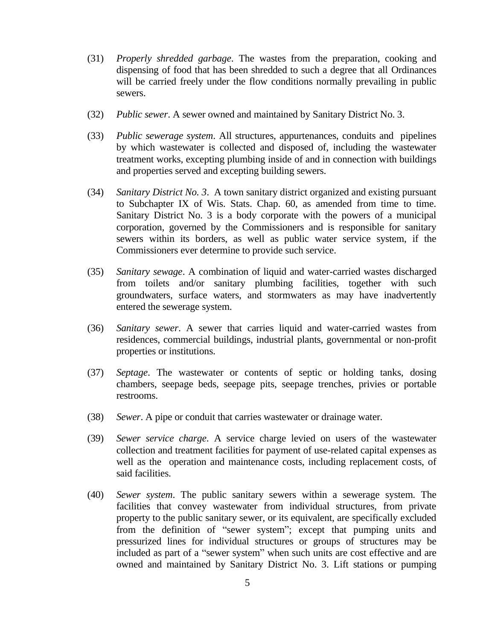- (31) *Properly shredded garbage*. The wastes from the preparation, cooking and dispensing of food that has been shredded to such a degree that all Ordinances will be carried freely under the flow conditions normally prevailing in public sewers.
- (32) *Public sewer*. A sewer owned and maintained by Sanitary District No. 3.
- (33) *Public sewerage system*. All structures, appurtenances, conduits and pipelines by which wastewater is collected and disposed of, including the wastewater treatment works, excepting plumbing inside of and in connection with buildings and properties served and excepting building sewers.
- (34) *Sanitary District No. 3*. A town sanitary district organized and existing pursuant to Subchapter IX of Wis. Stats. Chap. 60, as amended from time to time. Sanitary District No. 3 is a body corporate with the powers of a municipal corporation, governed by the Commissioners and is responsible for sanitary sewers within its borders, as well as public water service system, if the Commissioners ever determine to provide such service.
- (35) *Sanitary sewage*. A combination of liquid and water-carried wastes discharged from toilets and/or sanitary plumbing facilities, together with such groundwaters, surface waters, and stormwaters as may have inadvertently entered the sewerage system.
- (36) *Sanitary sewer*. A sewer that carries liquid and water-carried wastes from residences, commercial buildings, industrial plants, governmental or non-profit properties or institutions.
- (37) *Septage*. The wastewater or contents of septic or holding tanks, dosing chambers, seepage beds, seepage pits, seepage trenches, privies or portable restrooms.
- (38) *Sewer*. A pipe or conduit that carries wastewater or drainage water.
- (39) *Sewer service charge*. A service charge levied on users of the wastewater collection and treatment facilities for payment of use-related capital expenses as well as the operation and maintenance costs, including replacement costs, of said facilities.
- (40) *Sewer system*. The public sanitary sewers within a sewerage system. The facilities that convey wastewater from individual structures, from private property to the public sanitary sewer, or its equivalent, are specifically excluded from the definition of "sewer system"; except that pumping units and pressurized lines for individual structures or groups of structures may be included as part of a "sewer system" when such units are cost effective and are owned and maintained by Sanitary District No. 3. Lift stations or pumping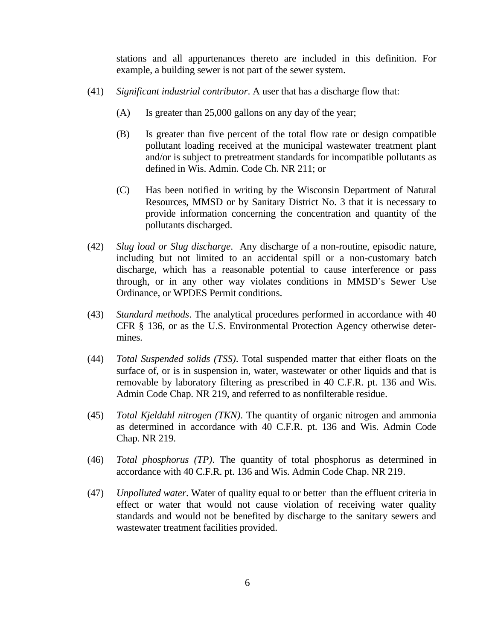stations and all appurtenances thereto are included in this definition. For example, a building sewer is not part of the sewer system.

- (41) *Significant industrial contributor*. A user that has a discharge flow that:
	- (A) Is greater than 25,000 gallons on any day of the year;
	- (B) Is greater than five percent of the total flow rate or design compatible pollutant loading received at the municipal wastewater treatment plant and/or is subject to pretreatment standards for incompatible pollutants as defined in Wis. Admin. Code Ch. NR 211; or
	- (C) Has been notified in writing by the Wisconsin Department of Natural Resources, MMSD or by Sanitary District No. 3 that it is necessary to provide information concerning the concentration and quantity of the pollutants discharged.
- (42) *Slug load or Slug discharge*. Any discharge of a non-routine, episodic nature, including but not limited to an accidental spill or a non-customary batch discharge, which has a reasonable potential to cause interference or pass through, or in any other way violates conditions in MMSD's Sewer Use Ordinance, or WPDES Permit conditions.
- (43) *Standard methods*. The analytical procedures performed in accordance with 40 CFR § 136, or as the U.S. Environmental Protection Agency otherwise determines.
- (44) *Total Suspended solids (TSS)*. Total suspended matter that either floats on the surface of, or is in suspension in, water, wastewater or other liquids and that is removable by laboratory filtering as prescribed in 40 C.F.R. pt. 136 and Wis. Admin Code Chap. NR 219, and referred to as nonfilterable residue.
- (45) *Total Kjeldahl nitrogen (TKN)*. The quantity of organic nitrogen and ammonia as determined in accordance with 40 C.F.R. pt. 136 and Wis. Admin Code Chap. NR 219.
- (46) *Total phosphorus (TP)*. The quantity of total phosphorus as determined in accordance with 40 C.F.R. pt. 136 and Wis. Admin Code Chap. NR 219.
- (47) *Unpolluted water*. Water of quality equal to or better than the effluent criteria in effect or water that would not cause violation of receiving water quality standards and would not be benefited by discharge to the sanitary sewers and wastewater treatment facilities provided.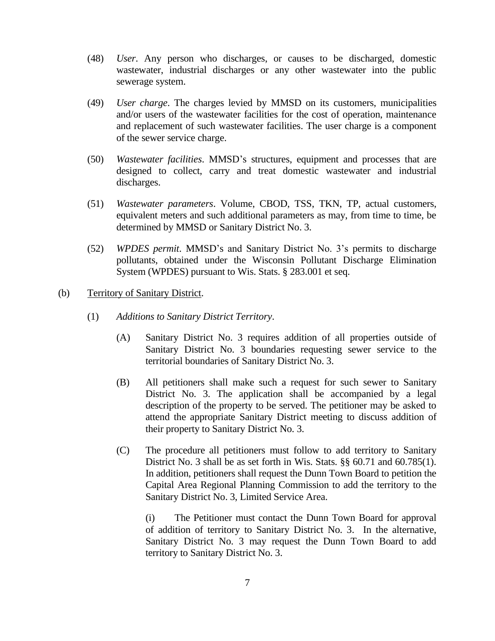- (48) *User*. Any person who discharges, or causes to be discharged, domestic wastewater, industrial discharges or any other wastewater into the public sewerage system.
- (49) *User charge*. The charges levied by MMSD on its customers, municipalities and/or users of the wastewater facilities for the cost of operation, maintenance and replacement of such wastewater facilities. The user charge is a component of the sewer service charge.
- (50) *Wastewater facilities*. MMSD's structures, equipment and processes that are designed to collect, carry and treat domestic wastewater and industrial discharges.
- (51) *Wastewater parameters*. Volume, CBOD, TSS, TKN, TP, actual customers, equivalent meters and such additional parameters as may, from time to time, be determined by MMSD or Sanitary District No. 3.
- (52) *WPDES permit*. MMSD's and Sanitary District No. 3's permits to discharge pollutants, obtained under the Wisconsin Pollutant Discharge Elimination System (WPDES) pursuant to Wis. Stats. § 283.001 et seq.

## (b) Territory of Sanitary District.

- (1) *Additions to Sanitary District Territory*.
	- (A) Sanitary District No. 3 requires addition of all properties outside of Sanitary District No. 3 boundaries requesting sewer service to the territorial boundaries of Sanitary District No. 3.
	- (B) All petitioners shall make such a request for such sewer to Sanitary District No. 3. The application shall be accompanied by a legal description of the property to be served. The petitioner may be asked to attend the appropriate Sanitary District meeting to discuss addition of their property to Sanitary District No. 3.
	- (C) The procedure all petitioners must follow to add territory to Sanitary District No. 3 shall be as set forth in Wis. Stats. §§ 60.71 and 60.785(1). In addition, petitioners shall request the Dunn Town Board to petition the Capital Area Regional Planning Commission to add the territory to the Sanitary District No. 3, Limited Service Area.

(i) The Petitioner must contact the Dunn Town Board for approval of addition of territory to Sanitary District No. 3. In the alternative, Sanitary District No. 3 may request the Dunn Town Board to add territory to Sanitary District No. 3.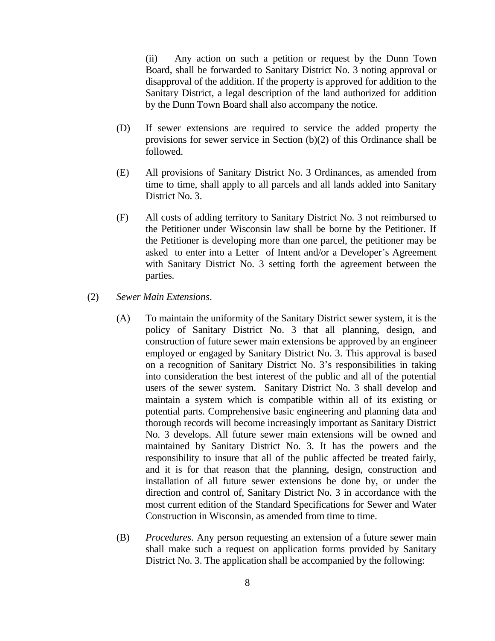(ii) Any action on such a petition or request by the Dunn Town Board, shall be forwarded to Sanitary District No. 3 noting approval or disapproval of the addition. If the property is approved for addition to the Sanitary District, a legal description of the land authorized for addition by the Dunn Town Board shall also accompany the notice.

- (D) If sewer extensions are required to service the added property the provisions for sewer service in Section (b)(2) of this Ordinance shall be followed.
- (E) All provisions of Sanitary District No. 3 Ordinances, as amended from time to time, shall apply to all parcels and all lands added into Sanitary District No. 3.
- (F) All costs of adding territory to Sanitary District No. 3 not reimbursed to the Petitioner under Wisconsin law shall be borne by the Petitioner. If the Petitioner is developing more than one parcel, the petitioner may be asked to enter into a Letter of Intent and/or a Developer's Agreement with Sanitary District No. 3 setting forth the agreement between the parties.
- (2) *Sewer Main Extensions*.
	- (A) To maintain the uniformity of the Sanitary District sewer system, it is the policy of Sanitary District No. 3 that all planning, design, and construction of future sewer main extensions be approved by an engineer employed or engaged by Sanitary District No. 3. This approval is based on a recognition of Sanitary District No. 3's responsibilities in taking into consideration the best interest of the public and all of the potential users of the sewer system. Sanitary District No. 3 shall develop and maintain a system which is compatible within all of its existing or potential parts. Comprehensive basic engineering and planning data and thorough records will become increasingly important as Sanitary District No. 3 develops. All future sewer main extensions will be owned and maintained by Sanitary District No. 3. It has the powers and the responsibility to insure that all of the public affected be treated fairly, and it is for that reason that the planning, design, construction and installation of all future sewer extensions be done by, or under the direction and control of, Sanitary District No. 3 in accordance with the most current edition of the Standard Specifications for Sewer and Water Construction in Wisconsin, as amended from time to time.
	- (B) *Procedures*. Any person requesting an extension of a future sewer main shall make such a request on application forms provided by Sanitary District No. 3. The application shall be accompanied by the following: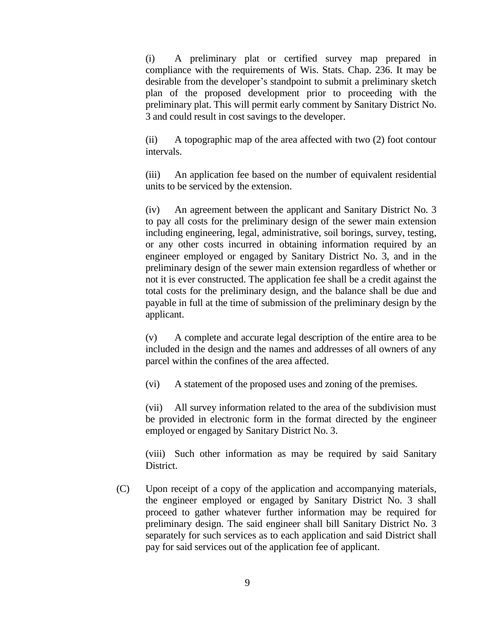(i) A preliminary plat or certified survey map prepared in compliance with the requirements of Wis. Stats. Chap. 236. It may be desirable from the developer's standpoint to submit a preliminary sketch plan of the proposed development prior to proceeding with the preliminary plat. This will permit early comment by Sanitary District No. 3 and could result in cost savings to the developer.

(ii) A topographic map of the area affected with two (2) foot contour intervals.

(iii) An application fee based on the number of equivalent residential units to be serviced by the extension.

(iv) An agreement between the applicant and Sanitary District No. 3 to pay all costs for the preliminary design of the sewer main extension including engineering, legal, administrative, soil borings, survey, testing, or any other costs incurred in obtaining information required by an engineer employed or engaged by Sanitary District No. 3, and in the preliminary design of the sewer main extension regardless of whether or not it is ever constructed. The application fee shall be a credit against the total costs for the preliminary design, and the balance shall be due and payable in full at the time of submission of the preliminary design by the applicant.

(v) A complete and accurate legal description of the entire area to be included in the design and the names and addresses of all owners of any parcel within the confines of the area affected.

(vi) A statement of the proposed uses and zoning of the premises.

(vii) All survey information related to the area of the subdivision must be provided in electronic form in the format directed by the engineer employed or engaged by Sanitary District No. 3.

(viii) Such other information as may be required by said Sanitary District.

(C) Upon receipt of a copy of the application and accompanying materials, the engineer employed or engaged by Sanitary District No. 3 shall proceed to gather whatever further information may be required for preliminary design. The said engineer shall bill Sanitary District No. 3 separately for such services as to each application and said District shall pay for said services out of the application fee of applicant.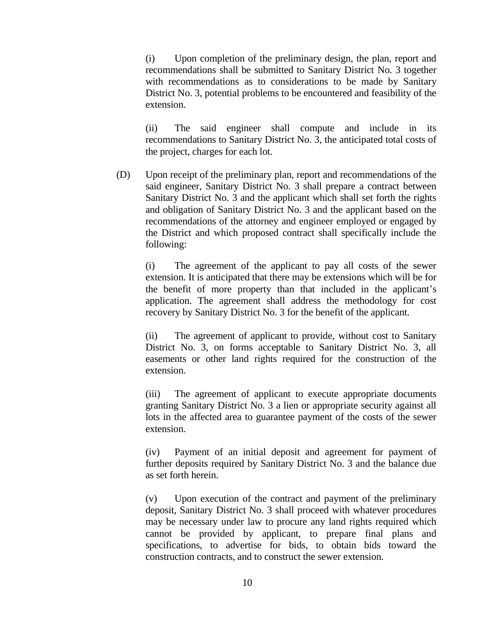(i) Upon completion of the preliminary design, the plan, report and recommendations shall be submitted to Sanitary District No. 3 together with recommendations as to considerations to be made by Sanitary District No. 3, potential problems to be encountered and feasibility of the extension.

(ii) The said engineer shall compute and include in its recommendations to Sanitary District No. 3, the anticipated total costs of the project, charges for each lot.

(D) Upon receipt of the preliminary plan, report and recommendations of the said engineer, Sanitary District No. 3 shall prepare a contract between Sanitary District No. 3 and the applicant which shall set forth the rights and obligation of Sanitary District No. 3 and the applicant based on the recommendations of the attorney and engineer employed or engaged by the District and which proposed contract shall specifically include the following:

(i) The agreement of the applicant to pay all costs of the sewer extension. It is anticipated that there may be extensions which will be for the benefit of more property than that included in the applicant's application. The agreement shall address the methodology for cost recovery by Sanitary District No. 3 for the benefit of the applicant.

(ii) The agreement of applicant to provide, without cost to Sanitary District No. 3, on forms acceptable to Sanitary District No. 3, all easements or other land rights required for the construction of the extension.

(iii) The agreement of applicant to execute appropriate documents granting Sanitary District No. 3 a lien or appropriate security against all lots in the affected area to guarantee payment of the costs of the sewer extension.

(iv) Payment of an initial deposit and agreement for payment of further deposits required by Sanitary District No. 3 and the balance due as set forth herein.

(v) Upon execution of the contract and payment of the preliminary deposit, Sanitary District No. 3 shall proceed with whatever procedures may be necessary under law to procure any land rights required which cannot be provided by applicant, to prepare final plans and specifications, to advertise for bids, to obtain bids toward the construction contracts, and to construct the sewer extension.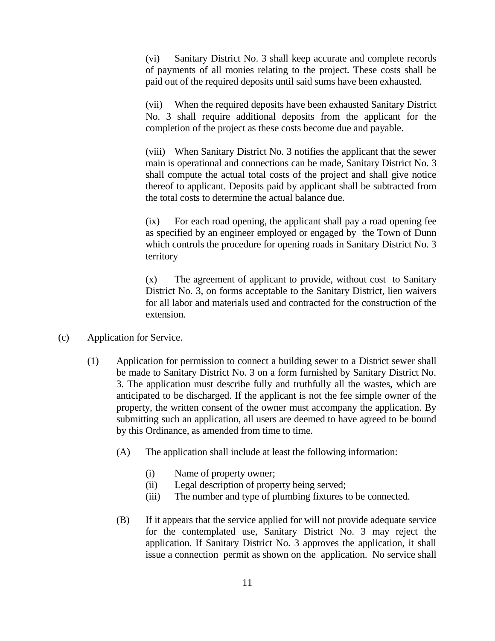(vi) Sanitary District No. 3 shall keep accurate and complete records of payments of all monies relating to the project. These costs shall be paid out of the required deposits until said sums have been exhausted.

(vii) When the required deposits have been exhausted Sanitary District No. 3 shall require additional deposits from the applicant for the completion of the project as these costs become due and payable.

(viii) When Sanitary District No. 3 notifies the applicant that the sewer main is operational and connections can be made, Sanitary District No. 3 shall compute the actual total costs of the project and shall give notice thereof to applicant. Deposits paid by applicant shall be subtracted from the total costs to determine the actual balance due.

(ix) For each road opening, the applicant shall pay a road opening fee as specified by an engineer employed or engaged by the Town of Dunn which controls the procedure for opening roads in Sanitary District No. 3 territory

(x) The agreement of applicant to provide, without cost to Sanitary District No. 3, on forms acceptable to the Sanitary District, lien waivers for all labor and materials used and contracted for the construction of the extension.

## (c) Application for Service.

- (1) Application for permission to connect a building sewer to a District sewer shall be made to Sanitary District No. 3 on a form furnished by Sanitary District No. 3. The application must describe fully and truthfully all the wastes, which are anticipated to be discharged. If the applicant is not the fee simple owner of the property, the written consent of the owner must accompany the application. By submitting such an application, all users are deemed to have agreed to be bound by this Ordinance, as amended from time to time.
	- (A) The application shall include at least the following information:
		- (i) Name of property owner;
		- (ii) Legal description of property being served;
		- (iii) The number and type of plumbing fixtures to be connected.
	- (B) If it appears that the service applied for will not provide adequate service for the contemplated use, Sanitary District No. 3 may reject the application. If Sanitary District No. 3 approves the application, it shall issue a connection permit as shown on the application. No service shall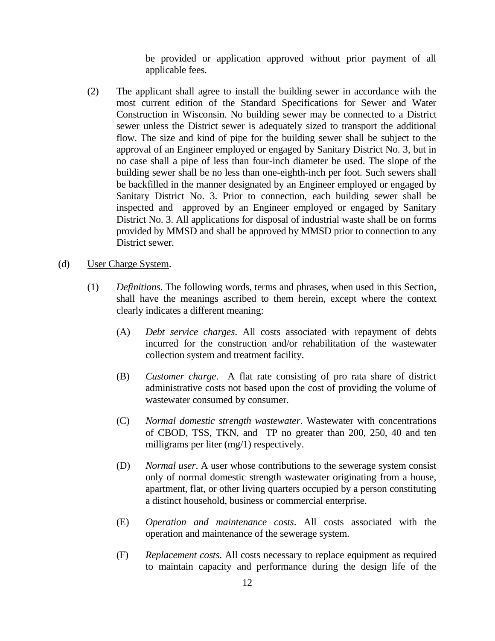be provided or application approved without prior payment of all applicable fees.

- (2) The applicant shall agree to install the building sewer in accordance with the most current edition of the Standard Specifications for Sewer and Water Construction in Wisconsin. No building sewer may be connected to a District sewer unless the District sewer is adequately sized to transport the additional flow. The size and kind of pipe for the building sewer shall be subject to the approval of an Engineer employed or engaged by Sanitary District No. 3, but in no case shall a pipe of less than four-inch diameter be used. The slope of the building sewer shall be no less than one-eighth-inch per foot. Such sewers shall be backfilled in the manner designated by an Engineer employed or engaged by Sanitary District No. 3. Prior to connection, each building sewer shall be inspected and approved by an Engineer employed or engaged by Sanitary District No. 3. All applications for disposal of industrial waste shall be on forms provided by MMSD and shall be approved by MMSD prior to connection to any District sewer.
- (d) User Charge System.
	- (1) *Definitions*. The following words, terms and phrases, when used in this Section, shall have the meanings ascribed to them herein, except where the context clearly indicates a different meaning:
		- (A) *Debt service charges*. All costs associated with repayment of debts incurred for the construction and/or rehabilitation of the wastewater collection system and treatment facility.
		- (B) *Customer charge*. A flat rate consisting of pro rata share of district administrative costs not based upon the cost of providing the volume of wastewater consumed by consumer.
		- (C) *Normal domestic strength wastewater*. Wastewater with concentrations of CBOD, TSS, TKN, and TP no greater than 200, 250, 40 and ten milligrams per liter (mg/1) respectively.
		- (D) *Normal user*. A user whose contributions to the sewerage system consist only of normal domestic strength wastewater originating from a house, apartment, flat, or other living quarters occupied by a person constituting a distinct household, business or commercial enterprise.
		- (E) *Operation and maintenance costs*. All costs associated with the operation and maintenance of the sewerage system.
		- (F) *Replacement costs*. All costs necessary to replace equipment as required to maintain capacity and performance during the design life of the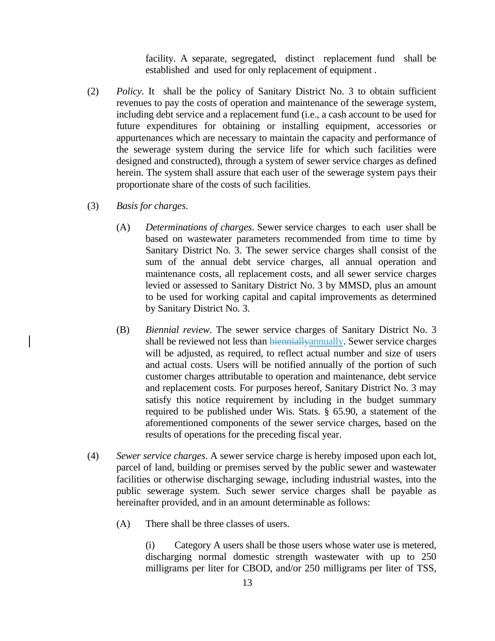facility. A separate, segregated, distinct replacement fund shall be established and used for only replacement of equipment .

- (2) *Policy*. It shall be the policy of Sanitary District No. 3 to obtain sufficient revenues to pay the costs of operation and maintenance of the sewerage system, including debt service and a replacement fund (i.e., a cash account to be used for future expenditures for obtaining or installing equipment, accessories or appurtenances which are necessary to maintain the capacity and performance of the sewerage system during the service life for which such facilities were designed and constructed), through a system of sewer service charges as defined herein. The system shall assure that each user of the sewerage system pays their proportionate share of the costs of such facilities.
- (3) *Basis for charges*.
	- (A) *Determinations of charges*. Sewer service charges to each user shall be based on wastewater parameters recommended from time to time by Sanitary District No. 3. The sewer service charges shall consist of the sum of the annual debt service charges, all annual operation and maintenance costs, all replacement costs, and all sewer service charges levied or assessed to Sanitary District No. 3 by MMSD, plus an amount to be used for working capital and capital improvements as determined by Sanitary District No. 3.
	- (B) *Biennial review*. The sewer service charges of Sanitary District No. 3 shall be reviewed not less than bienniallyannually. Sewer service charges will be adjusted, as required, to reflect actual number and size of users and actual costs. Users will be notified annually of the portion of such customer charges attributable to operation and maintenance, debt service and replacement costs. For purposes hereof, Sanitary District No. 3 may satisfy this notice requirement by including in the budget summary required to be published under Wis. Stats. § 65.90, a statement of the aforementioned components of the sewer service charges, based on the results of operations for the preceding fiscal year.
- (4) *Sewer service charges*. A sewer service charge is hereby imposed upon each lot, parcel of land, building or premises served by the public sewer and wastewater facilities or otherwise discharging sewage, including industrial wastes, into the public sewerage system. Such sewer service charges shall be payable as hereinafter provided, and in an amount determinable as follows:
	- (A) There shall be three classes of users.

(i) Category A users shall be those users whose water use is metered, discharging normal domestic strength wastewater with up to 250 milligrams per liter for CBOD, and/or 250 milligrams per liter of TSS,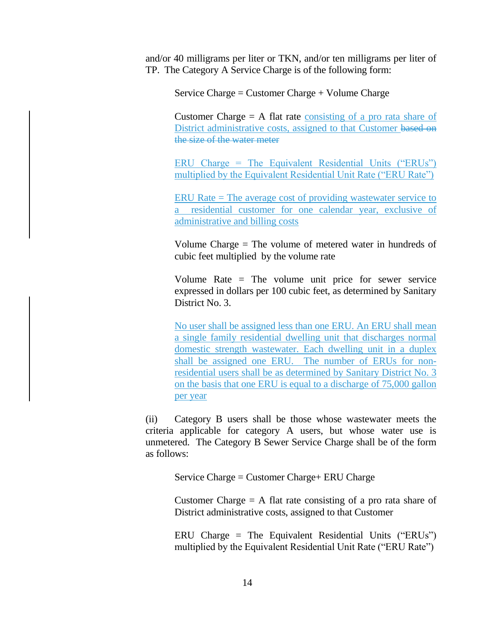and/or 40 milligrams per liter or TKN, and/or ten milligrams per liter of TP. The Category A Service Charge is of the following form:

Service Charge = Customer Charge + Volume Charge

Customer Charge  $= A$  flat rate consisting of a pro rata share of District administrative costs, assigned to that Customer based on the size of the water meter

ERU Charge = The Equivalent Residential Units ("ERUs") multiplied by the Equivalent Residential Unit Rate ("ERU Rate")

ERU Rate = The average cost of providing wastewater service to a residential customer for one calendar year, exclusive of administrative and billing costs

Volume Charge = The volume of metered water in hundreds of cubic feet multiplied by the volume rate

Volume Rate = The volume unit price for sewer service expressed in dollars per 100 cubic feet, as determined by Sanitary District No. 3.

No user shall be assigned less than one ERU. An ERU shall mean a single family residential dwelling unit that discharges normal domestic strength wastewater. Each dwelling unit in a duplex shall be assigned one ERU. The number of ERUs for nonresidential users shall be as determined by Sanitary District No. 3 on the basis that one ERU is equal to a discharge of 75,000 gallon per year

(ii) Category B users shall be those whose wastewater meets the criteria applicable for category A users, but whose water use is unmetered. The Category B Sewer Service Charge shall be of the form as follows:

Service Charge = Customer Charge+ ERU Charge

Customer Charge  $= A$  flat rate consisting of a pro rata share of District administrative costs, assigned to that Customer

ERU Charge = The Equivalent Residential Units ("ERUs") multiplied by the Equivalent Residential Unit Rate ("ERU Rate")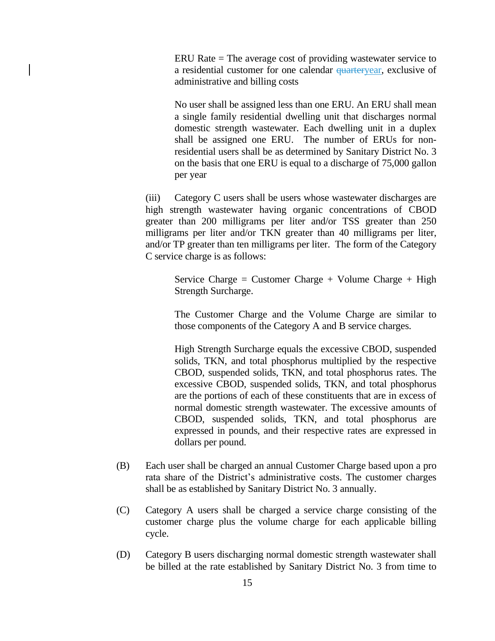ERU Rate = The average cost of providing wastewater service to a residential customer for one calendar *quarteryear*, exclusive of administrative and billing costs

No user shall be assigned less than one ERU. An ERU shall mean a single family residential dwelling unit that discharges normal domestic strength wastewater. Each dwelling unit in a duplex shall be assigned one ERU. The number of ERUs for nonresidential users shall be as determined by Sanitary District No. 3 on the basis that one ERU is equal to a discharge of 75,000 gallon per year

(iii) Category C users shall be users whose wastewater discharges are high strength wastewater having organic concentrations of CBOD greater than 200 milligrams per liter and/or TSS greater than 250 milligrams per liter and/or TKN greater than 40 milligrams per liter, and/or TP greater than ten milligrams per liter. The form of the Category C service charge is as follows:

Service Charge = Customer Charge + Volume Charge + High Strength Surcharge.

The Customer Charge and the Volume Charge are similar to those components of the Category A and B service charges.

High Strength Surcharge equals the excessive CBOD, suspended solids, TKN, and total phosphorus multiplied by the respective CBOD, suspended solids, TKN, and total phosphorus rates. The excessive CBOD, suspended solids, TKN, and total phosphorus are the portions of each of these constituents that are in excess of normal domestic strength wastewater. The excessive amounts of CBOD, suspended solids, TKN, and total phosphorus are expressed in pounds, and their respective rates are expressed in dollars per pound.

- (B) Each user shall be charged an annual Customer Charge based upon a pro rata share of the District's administrative costs. The customer charges shall be as established by Sanitary District No. 3 annually.
- (C) Category A users shall be charged a service charge consisting of the customer charge plus the volume charge for each applicable billing cycle.
- (D) Category B users discharging normal domestic strength wastewater shall be billed at the rate established by Sanitary District No. 3 from time to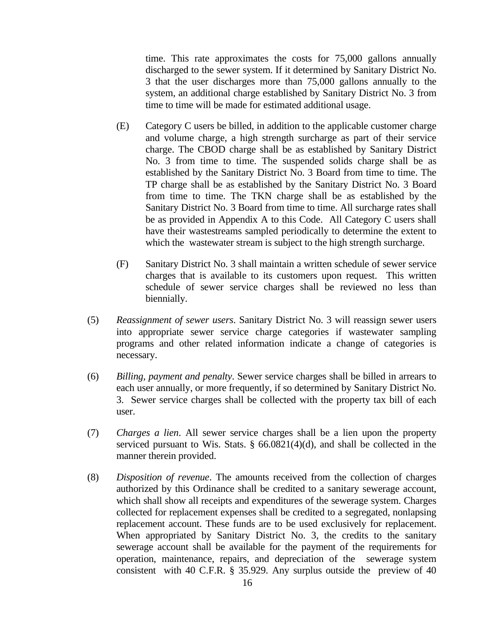time. This rate approximates the costs for 75,000 gallons annually discharged to the sewer system. If it determined by Sanitary District No. 3 that the user discharges more than 75,000 gallons annually to the system, an additional charge established by Sanitary District No. 3 from time to time will be made for estimated additional usage.

- (E) Category C users be billed, in addition to the applicable customer charge and volume charge, a high strength surcharge as part of their service charge. The CBOD charge shall be as established by Sanitary District No. 3 from time to time. The suspended solids charge shall be as established by the Sanitary District No. 3 Board from time to time. The TP charge shall be as established by the Sanitary District No. 3 Board from time to time. The TKN charge shall be as established by the Sanitary District No. 3 Board from time to time. All surcharge rates shall be as provided in Appendix A to this Code. All Category C users shall have their wastestreams sampled periodically to determine the extent to which the wastewater stream is subject to the high strength surcharge.
- (F) Sanitary District No. 3 shall maintain a written schedule of sewer service charges that is available to its customers upon request. This written schedule of sewer service charges shall be reviewed no less than biennially.
- (5) *Reassignment of sewer users*. Sanitary District No. 3 will reassign sewer users into appropriate sewer service charge categories if wastewater sampling programs and other related information indicate a change of categories is necessary.
- (6) *Billing, payment and penalty*. Sewer service charges shall be billed in arrears to each user annually, or more frequently, if so determined by Sanitary District No. 3. Sewer service charges shall be collected with the property tax bill of each user.
- (7) *Charges a lien*. All sewer service charges shall be a lien upon the property serviced pursuant to Wis. Stats. § 66.0821(4)(d), and shall be collected in the manner therein provided.
- (8) *Disposition of revenue*. The amounts received from the collection of charges authorized by this Ordinance shall be credited to a sanitary sewerage account, which shall show all receipts and expenditures of the sewerage system. Charges collected for replacement expenses shall be credited to a segregated, nonlapsing replacement account. These funds are to be used exclusively for replacement. When appropriated by Sanitary District No. 3, the credits to the sanitary sewerage account shall be available for the payment of the requirements for operation, maintenance, repairs, and depreciation of the sewerage system consistent with 40 C.F.R. § 35.929. Any surplus outside the preview of 40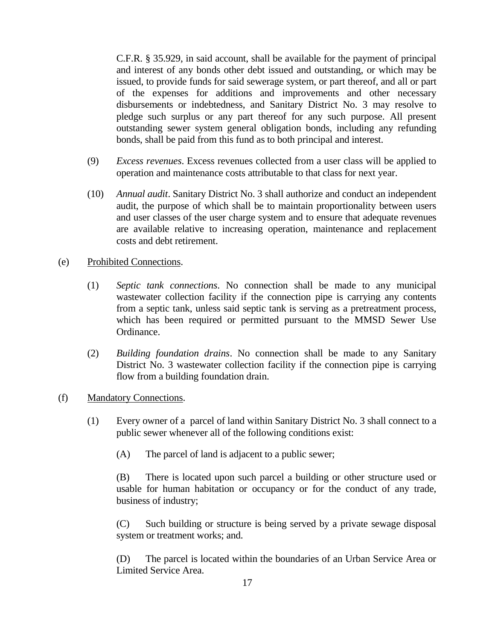C.F.R. § 35.929, in said account, shall be available for the payment of principal and interest of any bonds other debt issued and outstanding, or which may be issued, to provide funds for said sewerage system, or part thereof, and all or part of the expenses for additions and improvements and other necessary disbursements or indebtedness, and Sanitary District No. 3 may resolve to pledge such surplus or any part thereof for any such purpose. All present outstanding sewer system general obligation bonds, including any refunding bonds, shall be paid from this fund as to both principal and interest.

- (9) *Excess revenues*. Excess revenues collected from a user class will be applied to operation and maintenance costs attributable to that class for next year.
- (10) *Annual audit*. Sanitary District No. 3 shall authorize and conduct an independent audit, the purpose of which shall be to maintain proportionality between users and user classes of the user charge system and to ensure that adequate revenues are available relative to increasing operation, maintenance and replacement costs and debt retirement.
- (e) Prohibited Connections.
	- (1) *Septic tank connections*. No connection shall be made to any municipal wastewater collection facility if the connection pipe is carrying any contents from a septic tank, unless said septic tank is serving as a pretreatment process, which has been required or permitted pursuant to the MMSD Sewer Use Ordinance.
	- (2) *Building foundation drains*. No connection shall be made to any Sanitary District No. 3 wastewater collection facility if the connection pipe is carrying flow from a building foundation drain.
- (f) Mandatory Connections.
	- (1) Every owner of a parcel of land within Sanitary District No. 3 shall connect to a public sewer whenever all of the following conditions exist:
		- (A) The parcel of land is adjacent to a public sewer;

(B) There is located upon such parcel a building or other structure used or usable for human habitation or occupancy or for the conduct of any trade, business of industry;

(C) Such building or structure is being served by a private sewage disposal system or treatment works; and.

(D) The parcel is located within the boundaries of an Urban Service Area or Limited Service Area.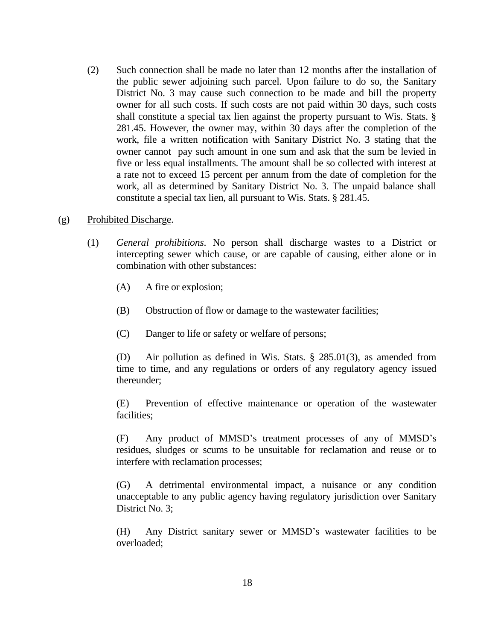- (2) Such connection shall be made no later than 12 months after the installation of the public sewer adjoining such parcel. Upon failure to do so, the Sanitary District No. 3 may cause such connection to be made and bill the property owner for all such costs. If such costs are not paid within 30 days, such costs shall constitute a special tax lien against the property pursuant to Wis. Stats. § 281.45. However, the owner may, within 30 days after the completion of the work, file a written notification with Sanitary District No. 3 stating that the owner cannot pay such amount in one sum and ask that the sum be levied in five or less equal installments. The amount shall be so collected with interest at a rate not to exceed 15 percent per annum from the date of completion for the work, all as determined by Sanitary District No. 3. The unpaid balance shall constitute a special tax lien, all pursuant to Wis. Stats. § 281.45.
- (g) Prohibited Discharge.
	- (1) *General prohibitions*. No person shall discharge wastes to a District or intercepting sewer which cause, or are capable of causing, either alone or in combination with other substances:
		- (A) A fire or explosion;
		- (B) Obstruction of flow or damage to the wastewater facilities;
		- (C) Danger to life or safety or welfare of persons;

(D) Air pollution as defined in Wis. Stats. § 285.01(3), as amended from time to time, and any regulations or orders of any regulatory agency issued thereunder;

(E) Prevention of effective maintenance or operation of the wastewater facilities;

(F) Any product of MMSD's treatment processes of any of MMSD's residues, sludges or scums to be unsuitable for reclamation and reuse or to interfere with reclamation processes;

(G) A detrimental environmental impact, a nuisance or any condition unacceptable to any public agency having regulatory jurisdiction over Sanitary District No. 3;

(H) Any District sanitary sewer or MMSD's wastewater facilities to be overloaded;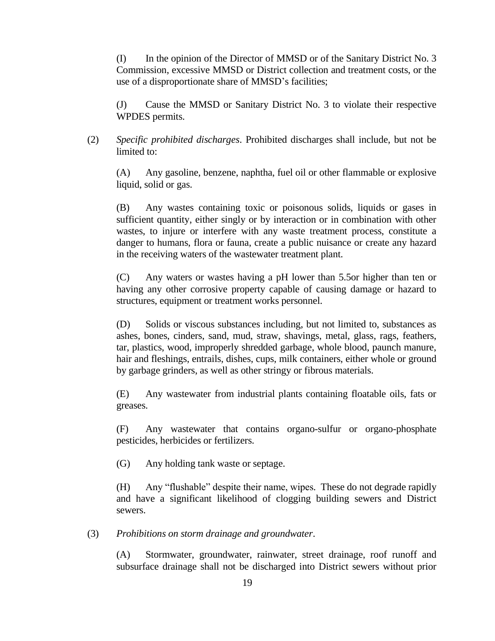(I) In the opinion of the Director of MMSD or of the Sanitary District No. 3 Commission, excessive MMSD or District collection and treatment costs, or the use of a disproportionate share of MMSD's facilities;

(J) Cause the MMSD or Sanitary District No. 3 to violate their respective WPDES permits.

(2) *Specific prohibited discharges*. Prohibited discharges shall include, but not be limited to:

(A) Any gasoline, benzene, naphtha, fuel oil or other flammable or explosive liquid, solid or gas.

(B) Any wastes containing toxic or poisonous solids, liquids or gases in sufficient quantity, either singly or by interaction or in combination with other wastes, to injure or interfere with any waste treatment process, constitute a danger to humans, flora or fauna, create a public nuisance or create any hazard in the receiving waters of the wastewater treatment plant.

(C) Any waters or wastes having a pH lower than 5.5or higher than ten or having any other corrosive property capable of causing damage or hazard to structures, equipment or treatment works personnel.

(D) Solids or viscous substances including, but not limited to, substances as ashes, bones, cinders, sand, mud, straw, shavings, metal, glass, rags, feathers, tar, plastics, wood, improperly shredded garbage, whole blood, paunch manure, hair and fleshings, entrails, dishes, cups, milk containers, either whole or ground by garbage grinders, as well as other stringy or fibrous materials.

(E) Any wastewater from industrial plants containing floatable oils, fats or greases.

(F) Any wastewater that contains organo-sulfur or organo-phosphate pesticides, herbicides or fertilizers.

(G) Any holding tank waste or septage.

(H) Any "flushable" despite their name, wipes. These do not degrade rapidly and have a significant likelihood of clogging building sewers and District sewers.

(3) *Prohibitions on storm drainage and groundwater*.

(A) Stormwater, groundwater, rainwater, street drainage, roof runoff and subsurface drainage shall not be discharged into District sewers without prior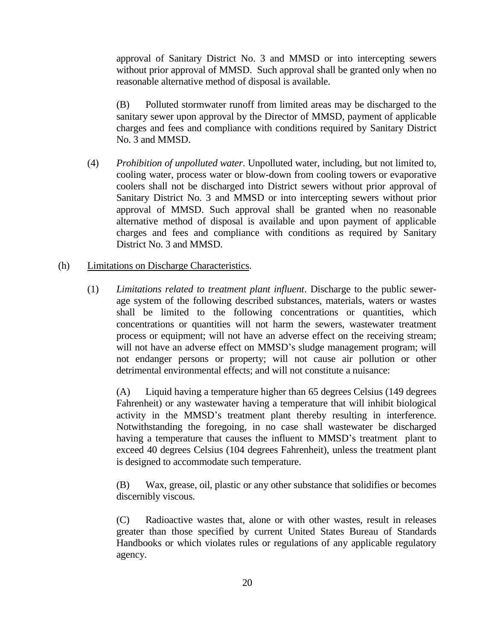approval of Sanitary District No. 3 and MMSD or into intercepting sewers without prior approval of MMSD. Such approval shall be granted only when no reasonable alternative method of disposal is available.

(B) Polluted stormwater runoff from limited areas may be discharged to the sanitary sewer upon approval by the Director of MMSD, payment of applicable charges and fees and compliance with conditions required by Sanitary District No. 3 and MMSD.

(4) *Prohibition of unpolluted water*. Unpolluted water, including, but not limited to, cooling water, process water or blow-down from cooling towers or evaporative coolers shall not be discharged into District sewers without prior approval of Sanitary District No. 3 and MMSD or into intercepting sewers without prior approval of MMSD. Such approval shall be granted when no reasonable alternative method of disposal is available and upon payment of applicable charges and fees and compliance with conditions as required by Sanitary District No. 3 and MMSD.

## (h) Limitations on Discharge Characteristics.

(1) *Limitations related to treatment plant influent*. Discharge to the public sewerage system of the following described substances, materials, waters or wastes shall be limited to the following concentrations or quantities, which concentrations or quantities will not harm the sewers, wastewater treatment process or equipment; will not have an adverse effect on the receiving stream; will not have an adverse effect on MMSD's sludge management program; will not endanger persons or property; will not cause air pollution or other detrimental environmental effects; and will not constitute a nuisance:

(A) Liquid having a temperature higher than 65 degrees Celsius (149 degrees Fahrenheit) or any wastewater having a temperature that will inhibit biological activity in the MMSD's treatment plant thereby resulting in interference. Notwithstanding the foregoing, in no case shall wastewater be discharged having a temperature that causes the influent to MMSD's treatment plant to exceed 40 degrees Celsius (104 degrees Fahrenheit), unless the treatment plant is designed to accommodate such temperature.

(B) Wax, grease, oil, plastic or any other substance that solidifies or becomes discernibly viscous.

(C) Radioactive wastes that, alone or with other wastes, result in releases greater than those specified by current United States Bureau of Standards Handbooks or which violates rules or regulations of any applicable regulatory agency.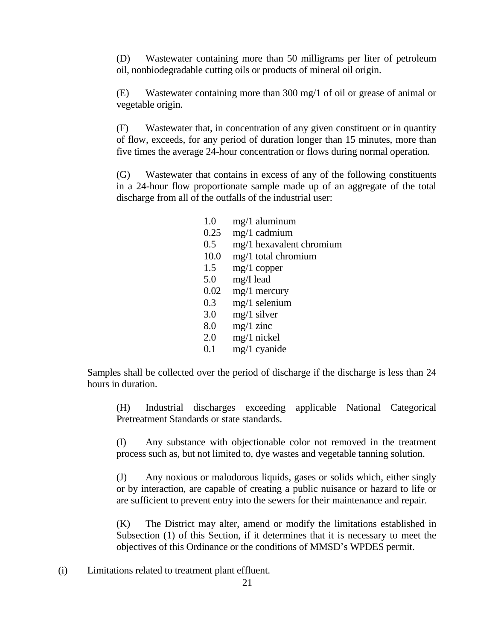(D) Wastewater containing more than 50 milligrams per liter of petroleum oil, nonbiodegradable cutting oils or products of mineral oil origin.

(E) Wastewater containing more than 300 mg/1 of oil or grease of animal or vegetable origin.

(F) Wastewater that, in concentration of any given constituent or in quantity of flow, exceeds, for any period of duration longer than 15 minutes, more than five times the average 24-hour concentration or flows during normal operation.

(G) Wastewater that contains in excess of any of the following constituents in a 24-hour flow proportionate sample made up of an aggregate of the total discharge from all of the outfalls of the industrial user:

| 1.0  | $mg/1$ aluminum          |
|------|--------------------------|
| 0.25 | $mg/1$ cadmium           |
| 0.5  | mg/1 hexavalent chromium |
| 10.0 | $mg/1$ total chromium    |
| 1.5  | $mg/1$ copper            |
| 5.0  | $mg/I$ lead              |
| 0.02 | $mg/1$ mercury           |
| 0.3  | $mg/1$ selenium          |
| 3.0  | $mg/1$ silver            |
| 8.0  | $mg/1$ zinc              |
| 2.0  | $mg/1$ nickel            |
| 0.1  | mg/1 cyanide             |

Samples shall be collected over the period of discharge if the discharge is less than 24 hours in duration.

(H) Industrial discharges exceeding applicable National Categorical Pretreatment Standards or state standards.

(I) Any substance with objectionable color not removed in the treatment process such as, but not limited to, dye wastes and vegetable tanning solution.

(J) Any noxious or malodorous liquids, gases or solids which, either singly or by interaction, are capable of creating a public nuisance or hazard to life or are sufficient to prevent entry into the sewers for their maintenance and repair.

(K) The District may alter, amend or modify the limitations established in Subsection (1) of this Section, if it determines that it is necessary to meet the objectives of this Ordinance or the conditions of MMSD's WPDES permit.

(i) Limitations related to treatment plant effluent.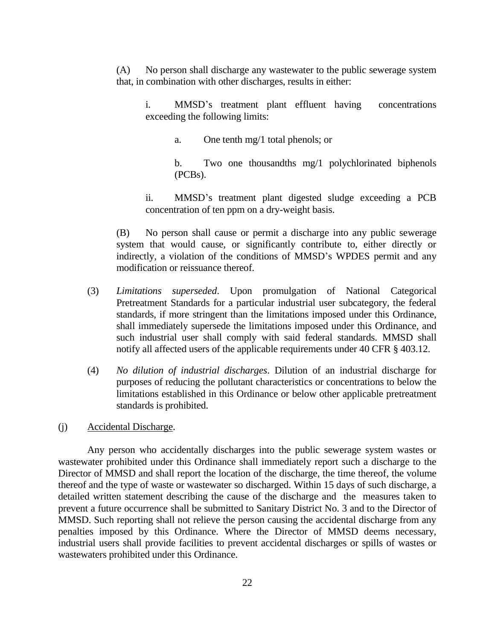(A) No person shall discharge any wastewater to the public sewerage system that, in combination with other discharges, results in either:

i. MMSD's treatment plant effluent having concentrations exceeding the following limits:

a. One tenth mg/1 total phenols; or

b. Two one thousandths mg/1 polychlorinated biphenols (PCBs).

ii. MMSD's treatment plant digested sludge exceeding a PCB concentration of ten ppm on a dry-weight basis.

(B) No person shall cause or permit a discharge into any public sewerage system that would cause, or significantly contribute to, either directly or indirectly, a violation of the conditions of MMSD's WPDES permit and any modification or reissuance thereof.

- (3) *Limitations superseded*. Upon promulgation of National Categorical Pretreatment Standards for a particular industrial user subcategory, the federal standards, if more stringent than the limitations imposed under this Ordinance, shall immediately supersede the limitations imposed under this Ordinance, and such industrial user shall comply with said federal standards. MMSD shall notify all affected users of the applicable requirements under 40 CFR § 403.12.
- (4) *No dilution of industrial discharges*. Dilution of an industrial discharge for purposes of reducing the pollutant characteristics or concentrations to below the limitations established in this Ordinance or below other applicable pretreatment standards is prohibited.

## (j) Accidental Discharge.

Any person who accidentally discharges into the public sewerage system wastes or wastewater prohibited under this Ordinance shall immediately report such a discharge to the Director of MMSD and shall report the location of the discharge, the time thereof, the volume thereof and the type of waste or wastewater so discharged. Within 15 days of such discharge, a detailed written statement describing the cause of the discharge and the measures taken to prevent a future occurrence shall be submitted to Sanitary District No. 3 and to the Director of MMSD. Such reporting shall not relieve the person causing the accidental discharge from any penalties imposed by this Ordinance. Where the Director of MMSD deems necessary, industrial users shall provide facilities to prevent accidental discharges or spills of wastes or wastewaters prohibited under this Ordinance.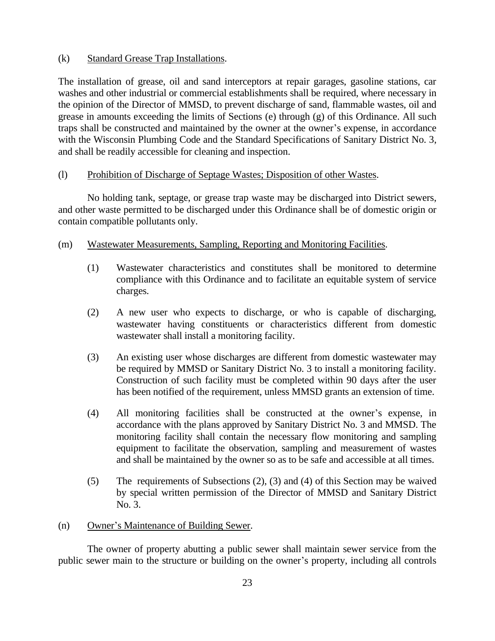## (k) Standard Grease Trap Installations.

The installation of grease, oil and sand interceptors at repair garages, gasoline stations, car washes and other industrial or commercial establishments shall be required, where necessary in the opinion of the Director of MMSD, to prevent discharge of sand, flammable wastes, oil and grease in amounts exceeding the limits of Sections (e) through (g) of this Ordinance. All such traps shall be constructed and maintained by the owner at the owner's expense, in accordance with the Wisconsin Plumbing Code and the Standard Specifications of Sanitary District No. 3, and shall be readily accessible for cleaning and inspection.

## (l) Prohibition of Discharge of Septage Wastes; Disposition of other Wastes.

No holding tank, septage, or grease trap waste may be discharged into District sewers, and other waste permitted to be discharged under this Ordinance shall be of domestic origin or contain compatible pollutants only.

## (m) Wastewater Measurements, Sampling, Reporting and Monitoring Facilities.

- (1) Wastewater characteristics and constitutes shall be monitored to determine compliance with this Ordinance and to facilitate an equitable system of service charges.
- (2) A new user who expects to discharge, or who is capable of discharging, wastewater having constituents or characteristics different from domestic wastewater shall install a monitoring facility.
- (3) An existing user whose discharges are different from domestic wastewater may be required by MMSD or Sanitary District No. 3 to install a monitoring facility. Construction of such facility must be completed within 90 days after the user has been notified of the requirement, unless MMSD grants an extension of time.
- (4) All monitoring facilities shall be constructed at the owner's expense, in accordance with the plans approved by Sanitary District No. 3 and MMSD. The monitoring facility shall contain the necessary flow monitoring and sampling equipment to facilitate the observation, sampling and measurement of wastes and shall be maintained by the owner so as to be safe and accessible at all times.
- (5) The requirements of Subsections (2), (3) and (4) of this Section may be waived by special written permission of the Director of MMSD and Sanitary District No. 3.

## (n) Owner's Maintenance of Building Sewer.

The owner of property abutting a public sewer shall maintain sewer service from the public sewer main to the structure or building on the owner's property, including all controls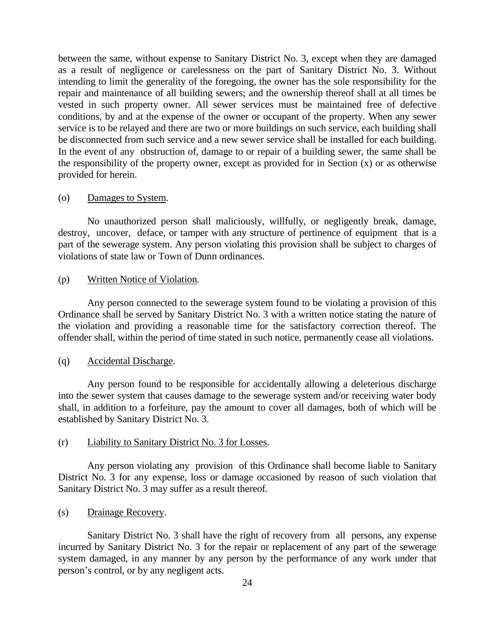between the same, without expense to Sanitary District No. 3, except when they are damaged as a result of negligence or carelessness on the part of Sanitary District No. 3. Without intending to limit the generality of the foregoing, the owner has the sole responsibility for the repair and maintenance of all building sewers; and the ownership thereof shall at all times be vested in such property owner. All sewer services must be maintained free of defective conditions, by and at the expense of the owner or occupant of the property. When any sewer service is to be relayed and there are two or more buildings on such service, each building shall be disconnected from such service and a new sewer service shall be installed for each building. In the event of any obstruction of, damage to or repair of a building sewer, the same shall be the responsibility of the property owner, except as provided for in Section (x) or as otherwise provided for herein.

### (o) Damages to System.

No unauthorized person shall maliciously, willfully, or negligently break, damage, destroy, uncover, deface, or tamper with any structure of pertinence of equipment that is a part of the sewerage system. Any person violating this provision shall be subject to charges of violations of state law or Town of Dunn ordinances.

(p) Written Notice of Violation.

Any person connected to the sewerage system found to be violating a provision of this Ordinance shall be served by Sanitary District No. 3 with a written notice stating the nature of the violation and providing a reasonable time for the satisfactory correction thereof. The offender shall, within the period of time stated in such notice, permanently cease all violations.

## (q) Accidental Discharge.

Any person found to be responsible for accidentally allowing a deleterious discharge into the sewer system that causes damage to the sewerage system and/or receiving water body shall, in addition to a forfeiture, pay the amount to cover all damages, both of which will be established by Sanitary District No. 3.

## (r) Liability to Sanitary District No. 3 for Losses.

Any person violating any provision of this Ordinance shall become liable to Sanitary District No. 3 for any expense, loss or damage occasioned by reason of such violation that Sanitary District No. 3 may suffer as a result thereof.

(s) Drainage Recovery.

Sanitary District No. 3 shall have the right of recovery from all persons, any expense incurred by Sanitary District No. 3 for the repair or replacement of any part of the sewerage system damaged, in any manner by any person by the performance of any work under that person's control, or by any negligent acts.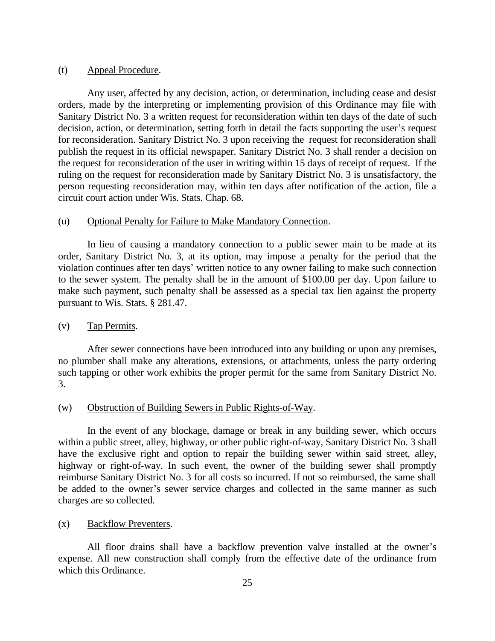#### (t) Appeal Procedure.

Any user, affected by any decision, action, or determination, including cease and desist orders, made by the interpreting or implementing provision of this Ordinance may file with Sanitary District No. 3 a written request for reconsideration within ten days of the date of such decision, action, or determination, setting forth in detail the facts supporting the user's request for reconsideration. Sanitary District No. 3 upon receiving the request for reconsideration shall publish the request in its official newspaper. Sanitary District No. 3 shall render a decision on the request for reconsideration of the user in writing within 15 days of receipt of request. If the ruling on the request for reconsideration made by Sanitary District No. 3 is unsatisfactory, the person requesting reconsideration may, within ten days after notification of the action, file a circuit court action under Wis. Stats. Chap. 68.

#### (u) Optional Penalty for Failure to Make Mandatory Connection.

In lieu of causing a mandatory connection to a public sewer main to be made at its order, Sanitary District No. 3, at its option, may impose a penalty for the period that the violation continues after ten days' written notice to any owner failing to make such connection to the sewer system. The penalty shall be in the amount of \$100.00 per day. Upon failure to make such payment, such penalty shall be assessed as a special tax lien against the property pursuant to Wis. Stats. § 281.47.

#### (v) Tap Permits.

After sewer connections have been introduced into any building or upon any premises, no plumber shall make any alterations, extensions, or attachments, unless the party ordering such tapping or other work exhibits the proper permit for the same from Sanitary District No. 3.

#### (w) Obstruction of Building Sewers in Public Rights-of-Way.

In the event of any blockage, damage or break in any building sewer, which occurs within a public street, alley, highway, or other public right-of-way, Sanitary District No. 3 shall have the exclusive right and option to repair the building sewer within said street, alley, highway or right-of-way. In such event, the owner of the building sewer shall promptly reimburse Sanitary District No. 3 for all costs so incurred. If not so reimbursed, the same shall be added to the owner's sewer service charges and collected in the same manner as such charges are so collected.

#### (x) Backflow Preventers.

All floor drains shall have a backflow prevention valve installed at the owner's expense. All new construction shall comply from the effective date of the ordinance from which this Ordinance.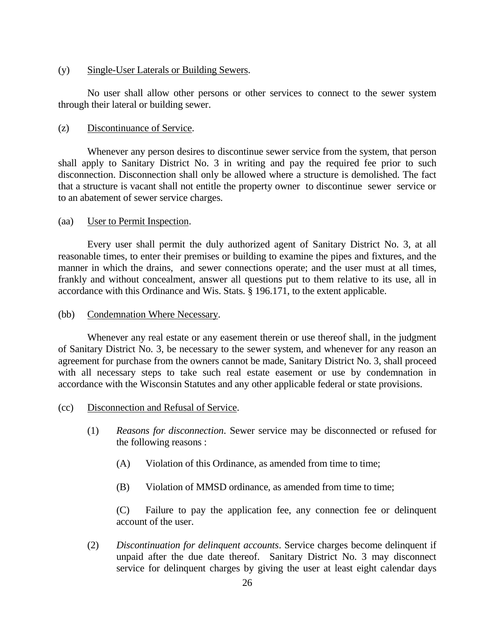#### (y) Single-User Laterals or Building Sewers.

No user shall allow other persons or other services to connect to the sewer system through their lateral or building sewer.

### (z) Discontinuance of Service.

Whenever any person desires to discontinue sewer service from the system, that person shall apply to Sanitary District No. 3 in writing and pay the required fee prior to such disconnection. Disconnection shall only be allowed where a structure is demolished. The fact that a structure is vacant shall not entitle the property owner to discontinue sewer service or to an abatement of sewer service charges.

### (aa) User to Permit Inspection.

Every user shall permit the duly authorized agent of Sanitary District No. 3, at all reasonable times, to enter their premises or building to examine the pipes and fixtures, and the manner in which the drains, and sewer connections operate; and the user must at all times, frankly and without concealment, answer all questions put to them relative to its use, all in accordance with this Ordinance and Wis. Stats. § 196.171, to the extent applicable.

#### (bb) Condemnation Where Necessary.

Whenever any real estate or any easement therein or use thereof shall, in the judgment of Sanitary District No. 3, be necessary to the sewer system, and whenever for any reason an agreement for purchase from the owners cannot be made, Sanitary District No. 3, shall proceed with all necessary steps to take such real estate easement or use by condemnation in accordance with the Wisconsin Statutes and any other applicable federal or state provisions.

#### (cc) Disconnection and Refusal of Service.

- (1) *Reasons for disconnection*. Sewer service may be disconnected or refused for the following reasons :
	- (A) Violation of this Ordinance, as amended from time to time;
	- (B) Violation of MMSD ordinance, as amended from time to time;

(C) Failure to pay the application fee, any connection fee or delinquent account of the user.

(2) *Discontinuation for delinquent accounts*. Service charges become delinquent if unpaid after the due date thereof. Sanitary District No. 3 may disconnect service for delinquent charges by giving the user at least eight calendar days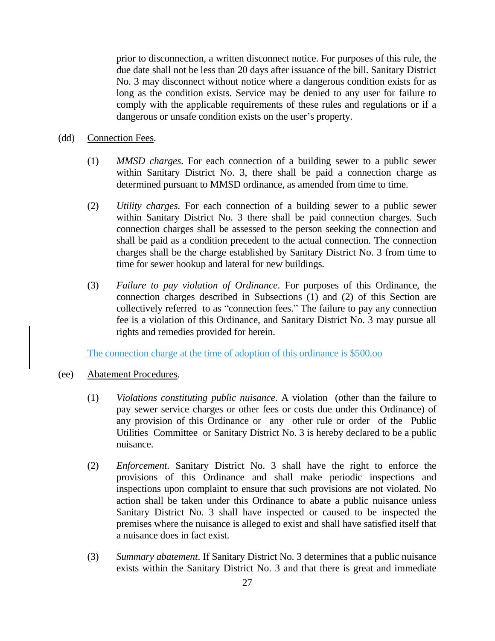prior to disconnection, a written disconnect notice. For purposes of this rule, the due date shall not be less than 20 days after issuance of the bill. Sanitary District No. 3 may disconnect without notice where a dangerous condition exists for as long as the condition exists. Service may be denied to any user for failure to comply with the applicable requirements of these rules and regulations or if a dangerous or unsafe condition exists on the user's property.

#### (dd) Connection Fees.

- (1) *MMSD charges*. For each connection of a building sewer to a public sewer within Sanitary District No. 3, there shall be paid a connection charge as determined pursuant to MMSD ordinance, as amended from time to time.
- (2) *Utility charges*. For each connection of a building sewer to a public sewer within Sanitary District No. 3 there shall be paid connection charges. Such connection charges shall be assessed to the person seeking the connection and shall be paid as a condition precedent to the actual connection. The connection charges shall be the charge established by Sanitary District No. 3 from time to time for sewer hookup and lateral for new buildings.
- (3) *Failure to pay violation of Ordinance*. For purposes of this Ordinance, the connection charges described in Subsections (1) and (2) of this Section are collectively referred to as "connection fees." The failure to pay any connection fee is a violation of this Ordinance, and Sanitary District No. 3 may pursue all rights and remedies provided for herein.

The connection charge at the time of adoption of this ordinance is \$500.oo

- (ee) Abatement Procedures.
	- (1) *Violations constituting public nuisance*. A violation (other than the failure to pay sewer service charges or other fees or costs due under this Ordinance) of any provision of this Ordinance or any other rule or order of the Public Utilities Committee or Sanitary District No. 3 is hereby declared to be a public nuisance.
	- (2) *Enforcement*. Sanitary District No. 3 shall have the right to enforce the provisions of this Ordinance and shall make periodic inspections and inspections upon complaint to ensure that such provisions are not violated. No action shall be taken under this Ordinance to abate a public nuisance unless Sanitary District No. 3 shall have inspected or caused to be inspected the premises where the nuisance is alleged to exist and shall have satisfied itself that a nuisance does in fact exist.
	- (3) *Summary abatement*. If Sanitary District No. 3 determines that a public nuisance exists within the Sanitary District No. 3 and that there is great and immediate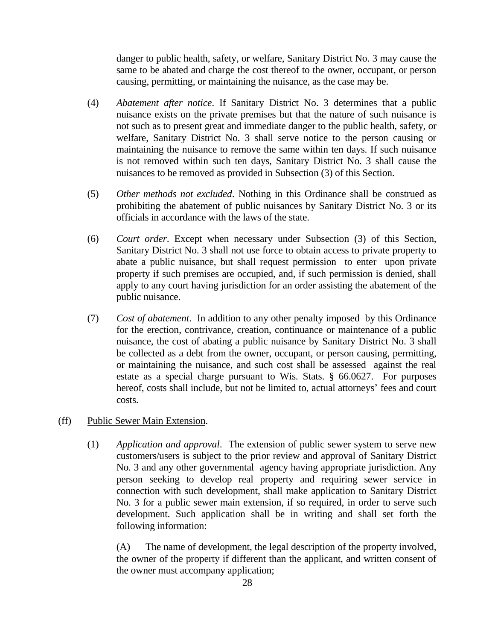danger to public health, safety, or welfare, Sanitary District No. 3 may cause the same to be abated and charge the cost thereof to the owner, occupant, or person causing, permitting, or maintaining the nuisance, as the case may be.

- (4) *Abatement after notice*. If Sanitary District No. 3 determines that a public nuisance exists on the private premises but that the nature of such nuisance is not such as to present great and immediate danger to the public health, safety, or welfare, Sanitary District No. 3 shall serve notice to the person causing or maintaining the nuisance to remove the same within ten days. If such nuisance is not removed within such ten days, Sanitary District No. 3 shall cause the nuisances to be removed as provided in Subsection (3) of this Section.
- (5) *Other methods not excluded*. Nothing in this Ordinance shall be construed as prohibiting the abatement of public nuisances by Sanitary District No. 3 or its officials in accordance with the laws of the state.
- (6) *Court order*. Except when necessary under Subsection (3) of this Section, Sanitary District No. 3 shall not use force to obtain access to private property to abate a public nuisance, but shall request permission to enter upon private property if such premises are occupied, and, if such permission is denied, shall apply to any court having jurisdiction for an order assisting the abatement of the public nuisance.
- (7) *Cost of abatement*. In addition to any other penalty imposed by this Ordinance for the erection, contrivance, creation, continuance or maintenance of a public nuisance, the cost of abating a public nuisance by Sanitary District No. 3 shall be collected as a debt from the owner, occupant, or person causing, permitting, or maintaining the nuisance, and such cost shall be assessed against the real estate as a special charge pursuant to Wis. Stats. § 66.0627. For purposes hereof, costs shall include, but not be limited to, actual attorneys' fees and court costs.

## (ff) Public Sewer Main Extension.

(1) *Application and approval*. The extension of public sewer system to serve new customers/users is subject to the prior review and approval of Sanitary District No. 3 and any other governmental agency having appropriate jurisdiction. Any person seeking to develop real property and requiring sewer service in connection with such development, shall make application to Sanitary District No. 3 for a public sewer main extension, if so required, in order to serve such development. Such application shall be in writing and shall set forth the following information:

(A) The name of development, the legal description of the property involved, the owner of the property if different than the applicant, and written consent of the owner must accompany application;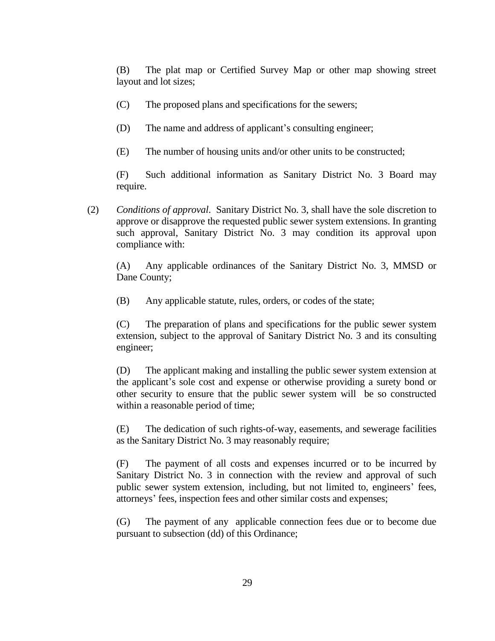(B) The plat map or Certified Survey Map or other map showing street layout and lot sizes;

- (C) The proposed plans and specifications for the sewers;
- (D) The name and address of applicant's consulting engineer;
- (E) The number of housing units and/or other units to be constructed;

(F) Such additional information as Sanitary District No. 3 Board may require.

(2) *Conditions of approval*. Sanitary District No. 3, shall have the sole discretion to approve or disapprove the requested public sewer system extensions. In granting such approval, Sanitary District No. 3 may condition its approval upon compliance with:

(A) Any applicable ordinances of the Sanitary District No. 3, MMSD or Dane County;

(B) Any applicable statute, rules, orders, or codes of the state;

(C) The preparation of plans and specifications for the public sewer system extension, subject to the approval of Sanitary District No. 3 and its consulting engineer;

(D) The applicant making and installing the public sewer system extension at the applicant's sole cost and expense or otherwise providing a surety bond or other security to ensure that the public sewer system will be so constructed within a reasonable period of time;

(E) The dedication of such rights-of-way, easements, and sewerage facilities as the Sanitary District No. 3 may reasonably require;

(F) The payment of all costs and expenses incurred or to be incurred by Sanitary District No. 3 in connection with the review and approval of such public sewer system extension, including, but not limited to, engineers' fees, attorneys' fees, inspection fees and other similar costs and expenses;

(G) The payment of any applicable connection fees due or to become due pursuant to subsection (dd) of this Ordinance;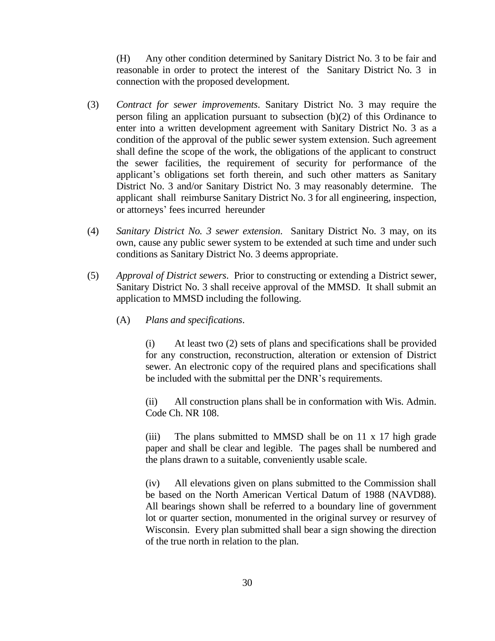(H) Any other condition determined by Sanitary District No. 3 to be fair and reasonable in order to protect the interest of the Sanitary District No. 3 in connection with the proposed development.

- (3) *Contract for sewer improvements*. Sanitary District No. 3 may require the person filing an application pursuant to subsection (b)(2) of this Ordinance to enter into a written development agreement with Sanitary District No. 3 as a condition of the approval of the public sewer system extension. Such agreement shall define the scope of the work, the obligations of the applicant to construct the sewer facilities, the requirement of security for performance of the applicant's obligations set forth therein, and such other matters as Sanitary District No. 3 and/or Sanitary District No. 3 may reasonably determine. The applicant shall reimburse Sanitary District No. 3 for all engineering, inspection, or attorneys' fees incurred hereunder
- (4) *Sanitary District No. 3 sewer extension*. Sanitary District No. 3 may, on its own, cause any public sewer system to be extended at such time and under such conditions as Sanitary District No. 3 deems appropriate.
- (5) *Approval of District sewers*. Prior to constructing or extending a District sewer, Sanitary District No. 3 shall receive approval of the MMSD. It shall submit an application to MMSD including the following.
	- (A) *Plans and specifications*.

(i) At least two (2) sets of plans and specifications shall be provided for any construction, reconstruction, alteration or extension of District sewer. An electronic copy of the required plans and specifications shall be included with the submittal per the DNR's requirements.

(ii) All construction plans shall be in conformation with Wis. Admin. Code Ch. NR 108.

(iii) The plans submitted to MMSD shall be on 11 x 17 high grade paper and shall be clear and legible. The pages shall be numbered and the plans drawn to a suitable, conveniently usable scale.

(iv) All elevations given on plans submitted to the Commission shall be based on the North American Vertical Datum of 1988 (NAVD88). All bearings shown shall be referred to a boundary line of government lot or quarter section, monumented in the original survey or resurvey of Wisconsin. Every plan submitted shall bear a sign showing the direction of the true north in relation to the plan.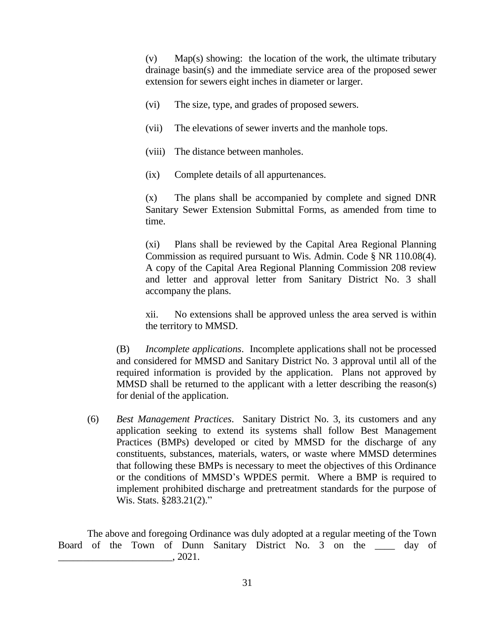(v) Map(s) showing: the location of the work, the ultimate tributary drainage basin(s) and the immediate service area of the proposed sewer extension for sewers eight inches in diameter or larger.

- (vi) The size, type, and grades of proposed sewers.
- (vii) The elevations of sewer inverts and the manhole tops.
- (viii) The distance between manholes.
- (ix) Complete details of all appurtenances.

(x) The plans shall be accompanied by complete and signed DNR Sanitary Sewer Extension Submittal Forms, as amended from time to time.

(xi) Plans shall be reviewed by the Capital Area Regional Planning Commission as required pursuant to Wis. Admin. Code § NR 110.08(4). A copy of the Capital Area Regional Planning Commission 208 review and letter and approval letter from Sanitary District No. 3 shall accompany the plans.

xii. No extensions shall be approved unless the area served is within the territory to MMSD.

(B) *Incomplete applications*. Incomplete applications shall not be processed and considered for MMSD and Sanitary District No. 3 approval until all of the required information is provided by the application. Plans not approved by MMSD shall be returned to the applicant with a letter describing the reason(s) for denial of the application.

(6) *Best Management Practices*. Sanitary District No. 3, its customers and any application seeking to extend its systems shall follow Best Management Practices (BMPs) developed or cited by MMSD for the discharge of any constituents, substances, materials, waters, or waste where MMSD determines that following these BMPs is necessary to meet the objectives of this Ordinance or the conditions of MMSD's WPDES permit. Where a BMP is required to implement prohibited discharge and pretreatment standards for the purpose of Wis. Stats. §283.21(2)."

The above and foregoing Ordinance was duly adopted at a regular meeting of the Town Board of the Town of Dunn Sanitary District No. 3 on the \_\_\_\_ day of  $\_\_$ , 2021.